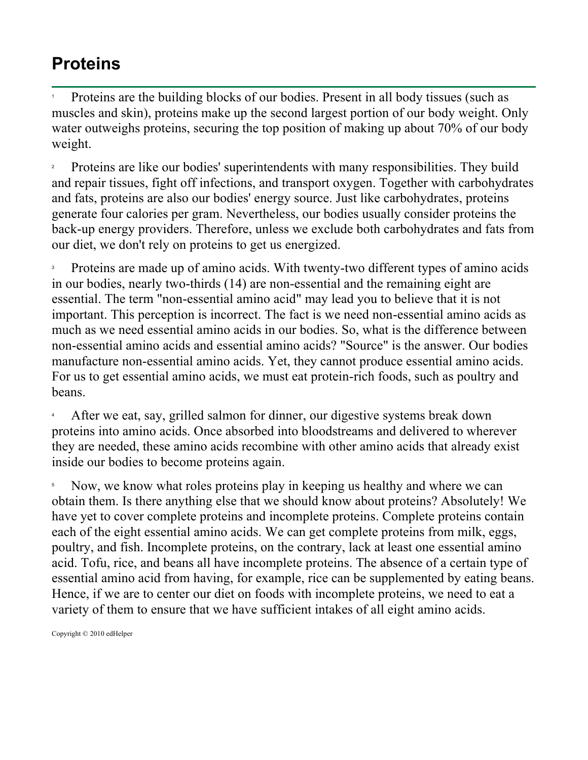## **Proteins**

1 Proteins are the building blocks of our bodies. Present in all body tissues (such as muscles and skin), proteins make up the second largest portion of our body weight. Only water outweighs proteins, securing the top position of making up about 70% of our body weight.

2 Proteins are like our bodies' superintendents with many responsibilities. They build and repair tissues, fight off infections, and transport oxygen. Together with carbohydrates and fats, proteins are also our bodies' energy source. Just like carbohydrates, proteins generate four calories per gram. Nevertheless, our bodies usually consider proteins the back-up energy providers. Therefore, unless we exclude both carbohydrates and fats from our diet, we don't rely on proteins to get us energized.

3 Proteins are made up of amino acids. With twenty-two different types of amino acids in our bodies, nearly two-thirds (14) are non-essential and the remaining eight are essential. The term "non-essential amino acid" may lead you to believe that it is not important. This perception is incorrect. The fact is we need non-essential amino acids as much as we need essential amino acids in our bodies. So, what is the difference between non-essential amino acids and essential amino acids? "Source" is the answer. Our bodies manufacture non-essential amino acids. Yet, they cannot produce essential amino acids. For us to get essential amino acids, we must eat protein-rich foods, such as poultry and beans.

4 After we eat, say, grilled salmon for dinner, our digestive systems break down proteins into amino acids. Once absorbed into bloodstreams and delivered to wherever they are needed, these amino acids recombine with other amino acids that already exist inside our bodies to become proteins again.

5 Now, we know what roles proteins play in keeping us healthy and where we can obtain them. Is there anything else that we should know about proteins? Absolutely! We have yet to cover complete proteins and incomplete proteins. Complete proteins contain each of the eight essential amino acids. We can get complete proteins from milk, eggs, poultry, and fish. Incomplete proteins, on the contrary, lack at least one essential amino acid. Tofu, rice, and beans all have incomplete proteins. The absence of a certain type of essential amino acid from having, for example, rice can be supplemented by eating beans. Hence, if we are to center our diet on foods with incomplete proteins, we need to eat a variety of them to ensure that we have sufficient intakes of all eight amino acids.

Copyright © 2010 edHelper